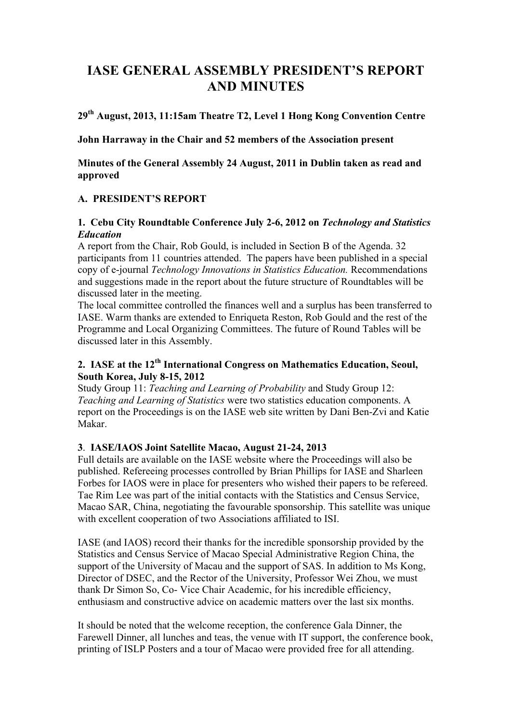# **IASE GENERAL ASSEMBLY PRESIDENT'S REPORT AND MINUTES**

# **29th August, 2013, 11:15am Theatre T2, Level 1 Hong Kong Convention Centre**

**John Harraway in the Chair and 52 members of the Association present**

**Minutes of the General Assembly 24 August, 2011 in Dublin taken as read and approved**

# **A. PRESIDENT'S REPORT**

### **1. Cebu City Roundtable Conference July 2-6, 2012 on** *Technology and Statistics Education*

A report from the Chair, Rob Gould, is included in Section B of the Agenda. 32 participants from 11 countries attended. The papers have been published in a special copy of e-journal *Technology Innovations in Statistics Education.* Recommendations and suggestions made in the report about the future structure of Roundtables will be discussed later in the meeting.

The local committee controlled the finances well and a surplus has been transferred to IASE. Warm thanks are extended to Enriqueta Reston, Rob Gould and the rest of the Programme and Local Organizing Committees. The future of Round Tables will be discussed later in this Assembly.

# **2. IASE at the 12th International Congress on Mathematics Education, Seoul, South Korea, July 8-15, 2012**

Study Group 11: *Teaching and Learning of Probability* and Study Group 12: *Teaching and Learning of Statistics* were two statistics education components. A report on the Proceedings is on the IASE web site written by Dani Ben-Zvi and Katie Makar.

# **3**. **IASE/IAOS Joint Satellite Macao, August 21-24, 2013**

Full details are available on the IASE website where the Proceedings will also be published. Refereeing processes controlled by Brian Phillips for IASE and Sharleen Forbes for IAOS were in place for presenters who wished their papers to be refereed. Tae Rim Lee was part of the initial contacts with the Statistics and Census Service, Macao SAR, China, negotiating the favourable sponsorship. This satellite was unique with excellent cooperation of two Associations affiliated to ISI.

IASE (and IAOS) record their thanks for the incredible sponsorship provided by the Statistics and Census Service of Macao Special Administrative Region China, the support of the University of Macau and the support of SAS. In addition to Ms Kong, Director of DSEC, and the Rector of the University, Professor Wei Zhou, we must thank Dr Simon So, Co- Vice Chair Academic, for his incredible efficiency, enthusiasm and constructive advice on academic matters over the last six months.

It should be noted that the welcome reception, the conference Gala Dinner, the Farewell Dinner, all lunches and teas, the venue with IT support, the conference book, printing of ISLP Posters and a tour of Macao were provided free for all attending.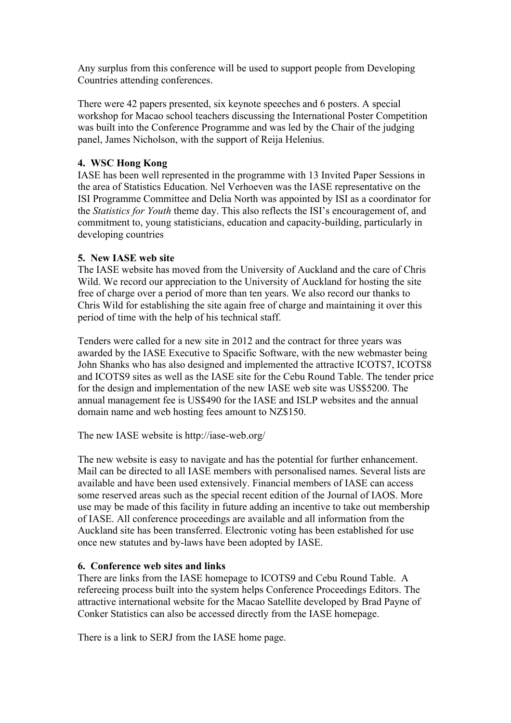Any surplus from this conference will be used to support people from Developing Countries attending conferences.

There were 42 papers presented, six keynote speeches and 6 posters. A special workshop for Macao school teachers discussing the International Poster Competition was built into the Conference Programme and was led by the Chair of the judging panel, James Nicholson, with the support of Reija Helenius.

### **4. WSC Hong Kong**

IASE has been well represented in the programme with 13 Invited Paper Sessions in the area of Statistics Education. Nel Verhoeven was the IASE representative on the ISI Programme Committee and Delia North was appointed by ISI as a coordinator for the *Statistics for Youth* theme day. This also reflects the ISI's encouragement of, and commitment to, young statisticians, education and capacity-building, particularly in developing countries

### **5. New IASE web site**

The IASE website has moved from the University of Auckland and the care of Chris Wild. We record our appreciation to the University of Auckland for hosting the site free of charge over a period of more than ten years. We also record our thanks to Chris Wild for establishing the site again free of charge and maintaining it over this period of time with the help of his technical staff.

Tenders were called for a new site in 2012 and the contract for three years was awarded by the IASE Executive to Spacific Software, with the new webmaster being John Shanks who has also designed and implemented the attractive ICOTS7, ICOTS8 and ICOTS9 sites as well as the IASE site for the Cebu Round Table. The tender price for the design and implementation of the new IASE web site was US\$5200. The annual management fee is US\$490 for the IASE and ISLP websites and the annual domain name and web hosting fees amount to NZ\$150.

The new IASE website is http://iase-web.org/

The new website is easy to navigate and has the potential for further enhancement. Mail can be directed to all IASE members with personalised names. Several lists are available and have been used extensively. Financial members of IASE can access some reserved areas such as the special recent edition of the Journal of IAOS. More use may be made of this facility in future adding an incentive to take out membership of IASE. All conference proceedings are available and all information from the Auckland site has been transferred. Electronic voting has been established for use once new statutes and by-laws have been adopted by IASE.

#### **6. Conference web sites and links**

There are links from the IASE homepage to ICOTS9 and Cebu Round Table. A refereeing process built into the system helps Conference Proceedings Editors. The attractive international website for the Macao Satellite developed by Brad Payne of Conker Statistics can also be accessed directly from the IASE homepage.

There is a link to SERJ from the IASE home page.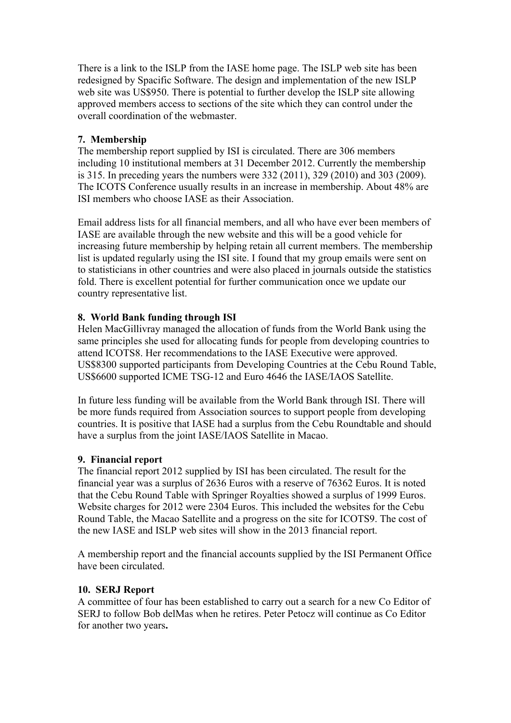There is a link to the ISLP from the IASE home page. The ISLP web site has been redesigned by Spacific Software. The design and implementation of the new ISLP web site was US\$950. There is potential to further develop the ISLP site allowing approved members access to sections of the site which they can control under the overall coordination of the webmaster.

### **7. Membership**

The membership report supplied by ISI is circulated. There are 306 members including 10 institutional members at 31 December 2012. Currently the membership is 315. In preceding years the numbers were 332 (2011), 329 (2010) and 303 (2009). The ICOTS Conference usually results in an increase in membership. About 48% are ISI members who choose IASE as their Association.

Email address lists for all financial members, and all who have ever been members of IASE are available through the new website and this will be a good vehicle for increasing future membership by helping retain all current members. The membership list is updated regularly using the ISI site. I found that my group emails were sent on to statisticians in other countries and were also placed in journals outside the statistics fold. There is excellent potential for further communication once we update our country representative list.

### **8. World Bank funding through ISI**

Helen MacGillivray managed the allocation of funds from the World Bank using the same principles she used for allocating funds for people from developing countries to attend ICOTS8. Her recommendations to the IASE Executive were approved. US\$8300 supported participants from Developing Countries at the Cebu Round Table, US\$6600 supported ICME TSG-12 and Euro 4646 the IASE/IAOS Satellite.

In future less funding will be available from the World Bank through ISI. There will be more funds required from Association sources to support people from developing countries. It is positive that IASE had a surplus from the Cebu Roundtable and should have a surplus from the joint IASE/IAOS Satellite in Macao.

#### **9. Financial report**

The financial report 2012 supplied by ISI has been circulated. The result for the financial year was a surplus of 2636 Euros with a reserve of 76362 Euros. It is noted that the Cebu Round Table with Springer Royalties showed a surplus of 1999 Euros. Website charges for 2012 were 2304 Euros. This included the websites for the Cebu Round Table, the Macao Satellite and a progress on the site for ICOTS9. The cost of the new IASE and ISLP web sites will show in the 2013 financial report.

A membership report and the financial accounts supplied by the ISI Permanent Office have been circulated.

#### **10. SERJ Report**

A committee of four has been established to carry out a search for a new Co Editor of SERJ to follow Bob delMas when he retires. Peter Petocz will continue as Co Editor for another two years**.**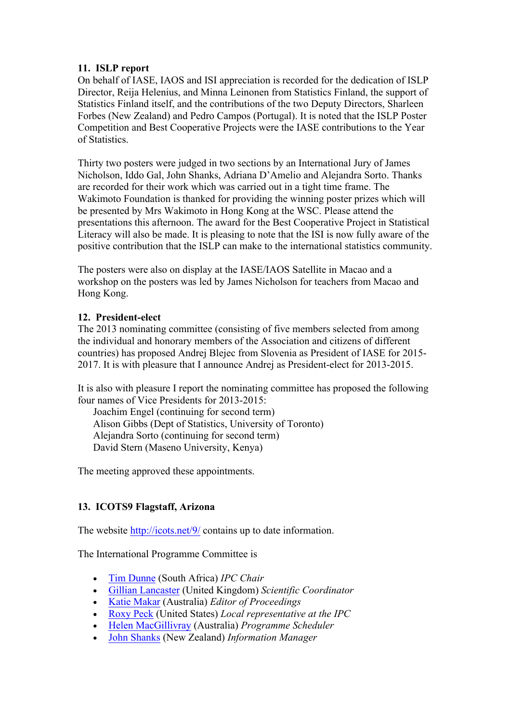# **11. ISLP report**

On behalf of IASE, IAOS and ISI appreciation is recorded for the dedication of ISLP Director, Reija Helenius, and Minna Leinonen from Statistics Finland, the support of Statistics Finland itself, and the contributions of the two Deputy Directors, Sharleen Forbes (New Zealand) and Pedro Campos (Portugal). It is noted that the ISLP Poster Competition and Best Cooperative Projects were the IASE contributions to the Year of Statistics.

Thirty two posters were judged in two sections by an International Jury of James Nicholson, Iddo Gal, John Shanks, Adriana D'Amelio and Alejandra Sorto. Thanks are recorded for their work which was carried out in a tight time frame. The Wakimoto Foundation is thanked for providing the winning poster prizes which will be presented by Mrs Wakimoto in Hong Kong at the WSC. Please attend the presentations this afternoon. The award for the Best Cooperative Project in Statistical Literacy will also be made. It is pleasing to note that the ISI is now fully aware of the positive contribution that the ISLP can make to the international statistics community.

The posters were also on display at the IASE/IAOS Satellite in Macao and a workshop on the posters was led by James Nicholson for teachers from Macao and Hong Kong.

# **12. President-elect**

The 2013 nominating committee (consisting of five members selected from among the individual and honorary members of the Association and citizens of different countries) has proposed Andrej Blejec from Slovenia as President of IASE for 2015- 2017. It is with pleasure that I announce Andrej as President-elect for 2013-2015.

It is also with pleasure I report the nominating committee has proposed the following four names of Vice Presidents for 2013-2015:

Joachim Engel (continuing for second term) Alison Gibbs (Dept of Statistics, University of Toronto) Alejandra Sorto (continuing for second term) David Stern (Maseno University, Kenya)

The meeting approved these appointments.

# **13. ICOTS9 Flagstaff, Arizona**

The website http://icots.net/9/ contains up to date information.

The International Programme Committee is

- Tim Dunne (South Africa) *IPC Chair*
- Gillian Lancaster (United Kingdom) *Scientific Coordinator*
- Katie Makar (Australia) *Editor of Proceedings*
- Roxy Peck (United States) *Local representative at the IPC*
- Helen MacGillivray (Australia) *Programme Scheduler*
- John Shanks (New Zealand) *Information Manager*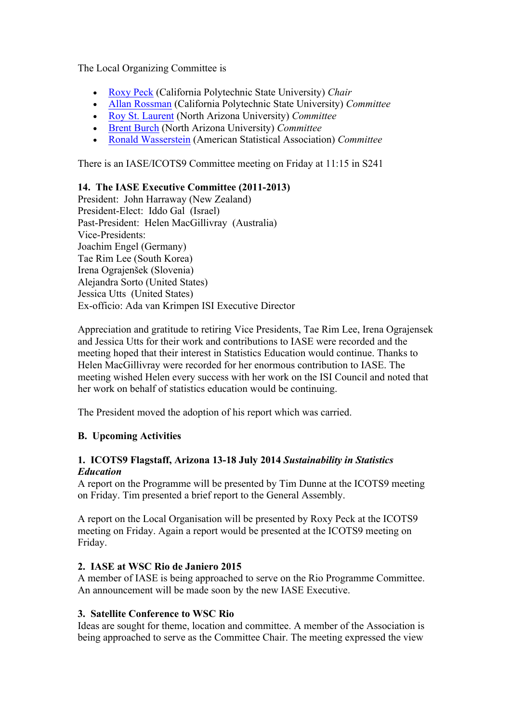The Local Organizing Committee is

- Roxy Peck (California Polytechnic State University) *Chair*
- Allan Rossman (California Polytechnic State University) *Committee*
- Roy St. Laurent (North Arizona University) *Committee*
- Brent Burch (North Arizona University) *Committee*
- Ronald Wasserstein (American Statistical Association) *Committee*

There is an IASE/ICOTS9 Committee meeting on Friday at 11:15 in S241

# **14. The IASE Executive Committee (2011-2013)**

President: John Harraway (New Zealand) President-Elect: Iddo Gal (Israel) Past-President: Helen MacGillivray (Australia) Vice-Presidents: Joachim Engel (Germany) Tae Rim Lee (South Korea) Irena Ograjenšek (Slovenia) Alejandra Sorto (United States) Jessica Utts (United States) Ex-officio: Ada van Krimpen ISI Executive Director

Appreciation and gratitude to retiring Vice Presidents, Tae Rim Lee, Irena Ograjensek and Jessica Utts for their work and contributions to IASE were recorded and the meeting hoped that their interest in Statistics Education would continue. Thanks to Helen MacGillivray were recorded for her enormous contribution to IASE. The meeting wished Helen every success with her work on the ISI Council and noted that her work on behalf of statistics education would be continuing.

The President moved the adoption of his report which was carried.

# **B. Upcoming Activities**

# **1. ICOTS9 Flagstaff, Arizona 13-18 July 2014** *Sustainability in Statistics Education*

A report on the Programme will be presented by Tim Dunne at the ICOTS9 meeting on Friday. Tim presented a brief report to the General Assembly.

A report on the Local Organisation will be presented by Roxy Peck at the ICOTS9 meeting on Friday. Again a report would be presented at the ICOTS9 meeting on Friday.

# **2. IASE at WSC Rio de Janiero 2015**

A member of IASE is being approached to serve on the Rio Programme Committee. An announcement will be made soon by the new IASE Executive.

# **3. Satellite Conference to WSC Rio**

Ideas are sought for theme, location and committee. A member of the Association is being approached to serve as the Committee Chair. The meeting expressed the view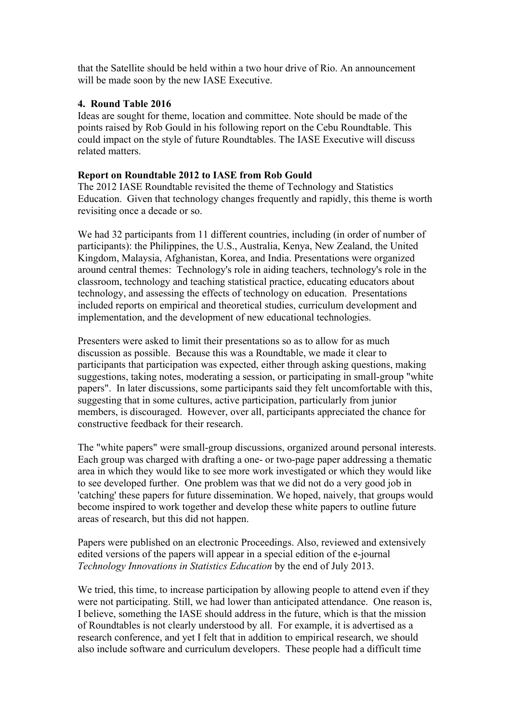that the Satellite should be held within a two hour drive of Rio. An announcement will be made soon by the new IASE Executive.

#### **4. Round Table 2016**

Ideas are sought for theme, location and committee. Note should be made of the points raised by Rob Gould in his following report on the Cebu Roundtable. This could impact on the style of future Roundtables. The IASE Executive will discuss related matters.

#### **Report on Roundtable 2012 to IASE from Rob Gould**

The 2012 IASE Roundtable revisited the theme of Technology and Statistics Education. Given that technology changes frequently and rapidly, this theme is worth revisiting once a decade or so.

We had 32 participants from 11 different countries, including (in order of number of participants): the Philippines, the U.S., Australia, Kenya, New Zealand, the United Kingdom, Malaysia, Afghanistan, Korea, and India. Presentations were organized around central themes: Technology's role in aiding teachers, technology's role in the classroom, technology and teaching statistical practice, educating educators about technology, and assessing the effects of technology on education. Presentations included reports on empirical and theoretical studies, curriculum development and implementation, and the development of new educational technologies.

Presenters were asked to limit their presentations so as to allow for as much discussion as possible. Because this was a Roundtable, we made it clear to participants that participation was expected, either through asking questions, making suggestions, taking notes, moderating a session, or participating in small-group "white papers". In later discussions, some participants said they felt uncomfortable with this, suggesting that in some cultures, active participation, particularly from junior members, is discouraged. However, over all, participants appreciated the chance for constructive feedback for their research.

The "white papers" were small-group discussions, organized around personal interests. Each group was charged with drafting a one- or two-page paper addressing a thematic area in which they would like to see more work investigated or which they would like to see developed further. One problem was that we did not do a very good job in 'catching' these papers for future dissemination. We hoped, naively, that groups would become inspired to work together and develop these white papers to outline future areas of research, but this did not happen.

Papers were published on an electronic Proceedings. Also, reviewed and extensively edited versions of the papers will appear in a special edition of the e-journal *Technology Innovations in Statistics Education* by the end of July 2013.

We tried, this time, to increase participation by allowing people to attend even if they were not participating. Still, we had lower than anticipated attendance. One reason is, I believe, something the IASE should address in the future, which is that the mission of Roundtables is not clearly understood by all. For example, it is advertised as a research conference, and yet I felt that in addition to empirical research, we should also include software and curriculum developers. These people had a difficult time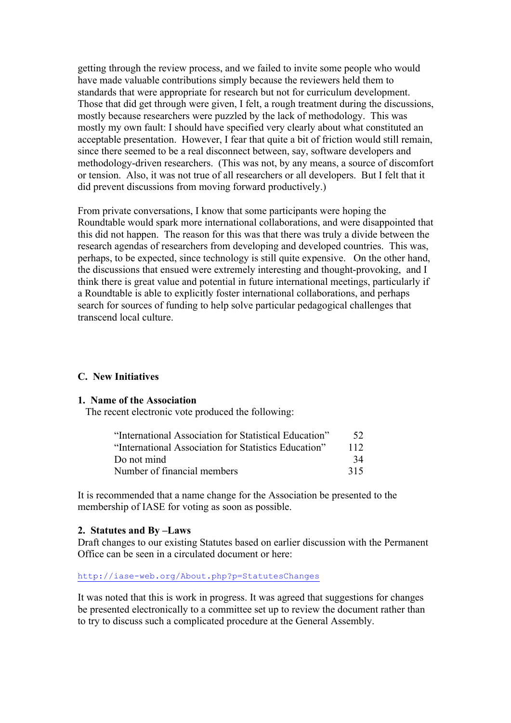getting through the review process, and we failed to invite some people who would have made valuable contributions simply because the reviewers held them to standards that were appropriate for research but not for curriculum development. Those that did get through were given, I felt, a rough treatment during the discussions, mostly because researchers were puzzled by the lack of methodology. This was mostly my own fault: I should have specified very clearly about what constituted an acceptable presentation. However, I fear that quite a bit of friction would still remain, since there seemed to be a real disconnect between, say, software developers and methodology-driven researchers. (This was not, by any means, a source of discomfort or tension. Also, it was not true of all researchers or all developers. But I felt that it did prevent discussions from moving forward productively.)

From private conversations, I know that some participants were hoping the Roundtable would spark more international collaborations, and were disappointed that this did not happen. The reason for this was that there was truly a divide between the research agendas of researchers from developing and developed countries. This was, perhaps, to be expected, since technology is still quite expensive. On the other hand, the discussions that ensued were extremely interesting and thought-provoking, and I think there is great value and potential in future international meetings, particularly if a Roundtable is able to explicitly foster international collaborations, and perhaps search for sources of funding to help solve particular pedagogical challenges that transcend local culture.

#### **C. New Initiatives**

#### **1. Name of the Association**

The recent electronic vote produced the following:

| "International Association for Statistical Education" | 52  |
|-------------------------------------------------------|-----|
| "International Association for Statistics Education"  | 112 |
| Do not mind                                           | 34  |
| Number of financial members                           | 315 |

It is recommended that a name change for the Association be presented to the membership of IASE for voting as soon as possible.

#### **2. Statutes and By –Laws**

Draft changes to our existing Statutes based on earlier discussion with the Permanent Office can be seen in a circulated document or here:

http://iase-web.org/About.php?p=StatutesChanges

It was noted that this is work in progress. It was agreed that suggestions for changes be presented electronically to a committee set up to review the document rather than to try to discuss such a complicated procedure at the General Assembly.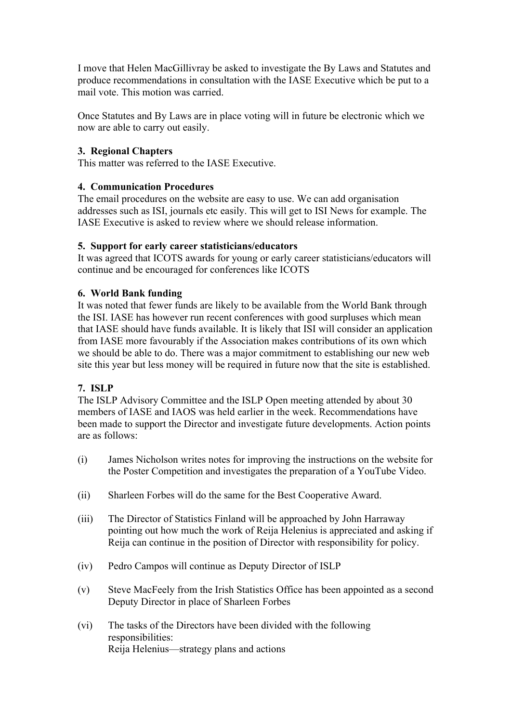I move that Helen MacGillivray be asked to investigate the By Laws and Statutes and produce recommendations in consultation with the IASE Executive which be put to a mail vote. This motion was carried.

Once Statutes and By Laws are in place voting will in future be electronic which we now are able to carry out easily.

### **3. Regional Chapters**

This matter was referred to the IASE Executive.

### **4. Communication Procedures**

The email procedures on the website are easy to use. We can add organisation addresses such as ISI, journals etc easily. This will get to ISI News for example. The IASE Executive is asked to review where we should release information.

### **5. Support for early career statisticians/educators**

It was agreed that ICOTS awards for young or early career statisticians/educators will continue and be encouraged for conferences like ICOTS

### **6. World Bank funding**

It was noted that fewer funds are likely to be available from the World Bank through the ISI. IASE has however run recent conferences with good surpluses which mean that IASE should have funds available. It is likely that ISI will consider an application from IASE more favourably if the Association makes contributions of its own which we should be able to do. There was a major commitment to establishing our new web site this year but less money will be required in future now that the site is established.

# **7. ISLP**

The ISLP Advisory Committee and the ISLP Open meeting attended by about 30 members of IASE and IAOS was held earlier in the week. Recommendations have been made to support the Director and investigate future developments. Action points are as follows:

- (i) James Nicholson writes notes for improving the instructions on the website for the Poster Competition and investigates the preparation of a YouTube Video.
- (ii) Sharleen Forbes will do the same for the Best Cooperative Award.
- (iii) The Director of Statistics Finland will be approached by John Harraway pointing out how much the work of Reija Helenius is appreciated and asking if Reija can continue in the position of Director with responsibility for policy.
- (iv) Pedro Campos will continue as Deputy Director of ISLP
- (v) Steve MacFeely from the Irish Statistics Office has been appointed as a second Deputy Director in place of Sharleen Forbes
- (vi) The tasks of the Directors have been divided with the following responsibilities: Reija Helenius—strategy plans and actions